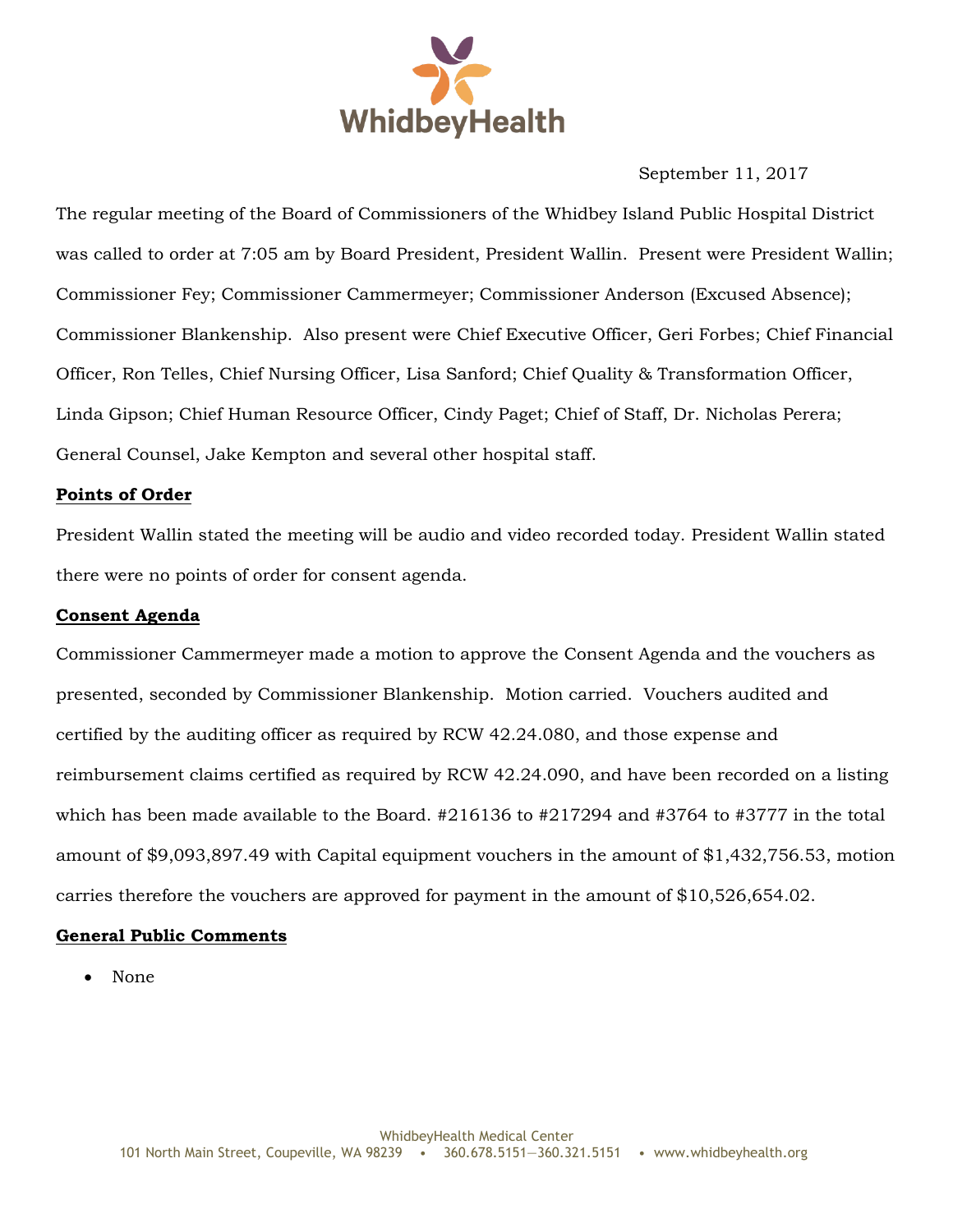

September 11, 2017

The regular meeting of the Board of Commissioners of the Whidbey Island Public Hospital District was called to order at 7:05 am by Board President, President Wallin. Present were President Wallin; Commissioner Fey; Commissioner Cammermeyer; Commissioner Anderson (Excused Absence); Commissioner Blankenship. Also present were Chief Executive Officer, Geri Forbes; Chief Financial Officer, Ron Telles, Chief Nursing Officer, Lisa Sanford; Chief Quality & Transformation Officer, Linda Gipson; Chief Human Resource Officer, Cindy Paget; Chief of Staff, Dr. Nicholas Perera; General Counsel, Jake Kempton and several other hospital staff.

#### **Points of Order**

President Wallin stated the meeting will be audio and video recorded today. President Wallin stated there were no points of order for consent agenda.

#### **Consent Agenda**

Commissioner Cammermeyer made a motion to approve the Consent Agenda and the vouchers as presented, seconded by Commissioner Blankenship. Motion carried. Vouchers audited and certified by the auditing officer as required by RCW 42.24.080, and those expense and reimbursement claims certified as required by RCW 42.24.090, and have been recorded on a listing which has been made available to the Board. #216136 to #217294 and #3764 to #3777 in the total amount of \$9,093,897.49 with Capital equipment vouchers in the amount of \$1,432,756.53, motion carries therefore the vouchers are approved for payment in the amount of \$10,526,654.02.

## **General Public Comments**

None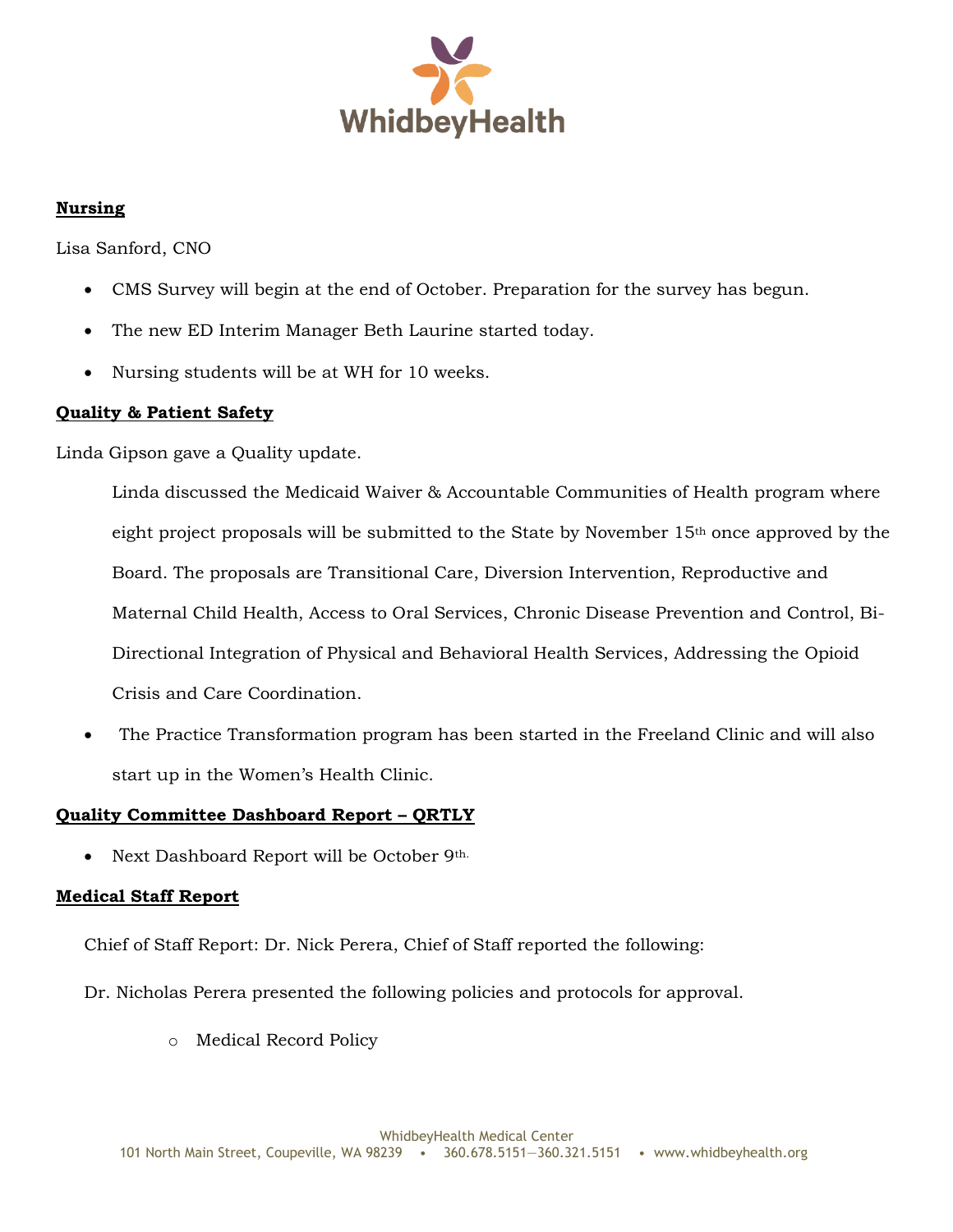

# **Nursing**

Lisa Sanford, CNO

- CMS Survey will begin at the end of October. Preparation for the survey has begun.
- The new ED Interim Manager Beth Laurine started today.
- Nursing students will be at WH for 10 weeks.

## **Quality & Patient Safety**

Linda Gipson gave a Quality update.

Linda discussed the Medicaid Waiver & Accountable Communities of Health program where eight project proposals will be submitted to the State by November 15th once approved by the Board. The proposals are Transitional Care, Diversion Intervention, Reproductive and Maternal Child Health, Access to Oral Services, Chronic Disease Prevention and Control, Bi-Directional Integration of Physical and Behavioral Health Services, Addressing the Opioid Crisis and Care Coordination.

 The Practice Transformation program has been started in the Freeland Clinic and will also start up in the Women's Health Clinic.

# **Quality Committee Dashboard Report – QRTLY**

• Next Dashboard Report will be October 9th.

# **Medical Staff Report**

Chief of Staff Report: Dr. Nick Perera, Chief of Staff reported the following:

- Dr. Nicholas Perera presented the following policies and protocols for approval.
	- o Medical Record Policy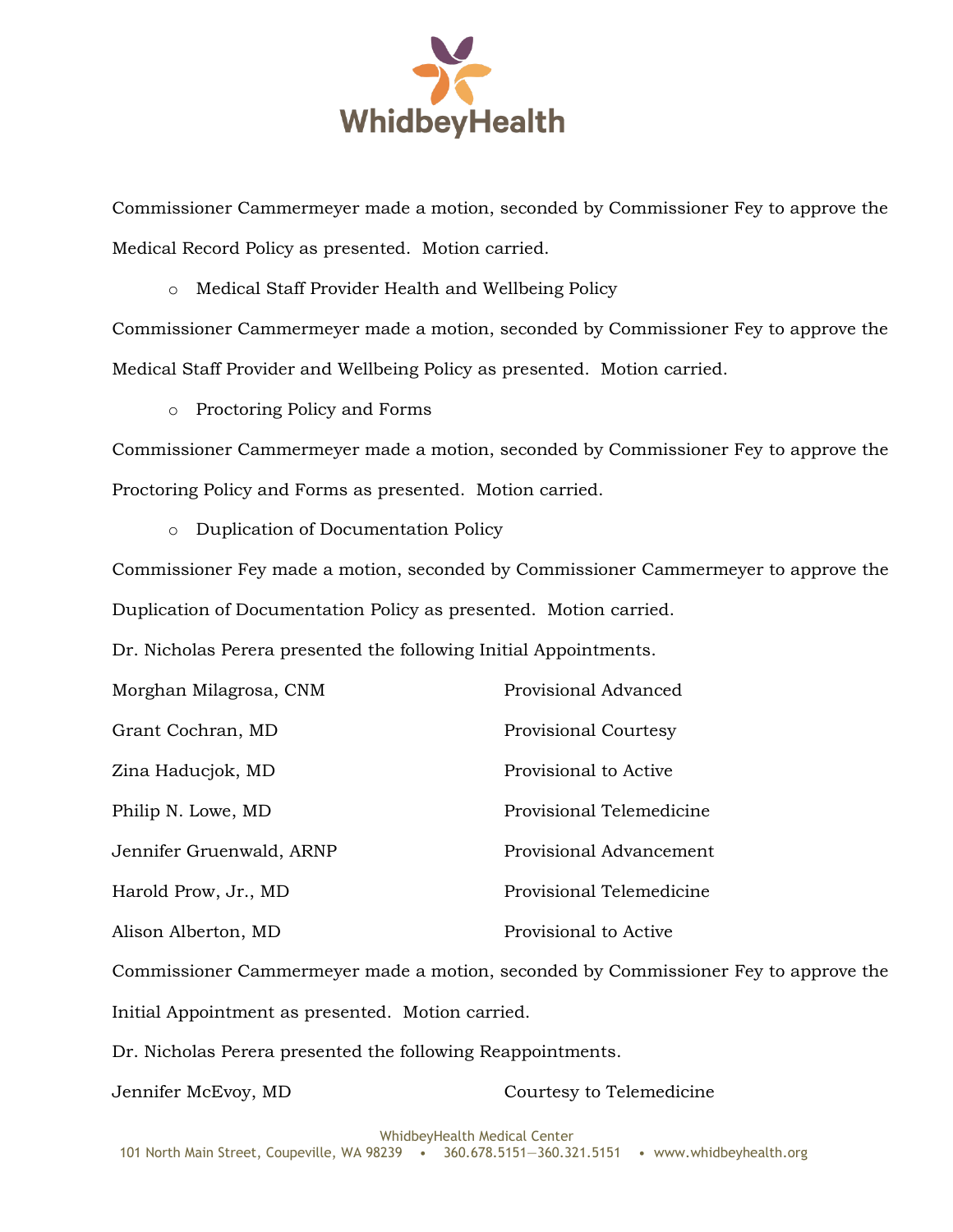

Commissioner Cammermeyer made a motion, seconded by Commissioner Fey to approve the Medical Record Policy as presented. Motion carried.

o Medical Staff Provider Health and Wellbeing Policy

Commissioner Cammermeyer made a motion, seconded by Commissioner Fey to approve the Medical Staff Provider and Wellbeing Policy as presented. Motion carried.

o Proctoring Policy and Forms

Commissioner Cammermeyer made a motion, seconded by Commissioner Fey to approve the Proctoring Policy and Forms as presented. Motion carried.

o Duplication of Documentation Policy

Commissioner Fey made a motion, seconded by Commissioner Cammermeyer to approve the Duplication of Documentation Policy as presented. Motion carried.

Dr. Nicholas Perera presented the following Initial Appointments.

| Morghan Milagrosa, CNM   | Provisional Advanced        |
|--------------------------|-----------------------------|
| Grant Cochran, MD        | <b>Provisional Courtesy</b> |
| Zina Haducjok, MD        | Provisional to Active       |
| Philip N. Lowe, MD       | Provisional Telemedicine    |
| Jennifer Gruenwald, ARNP | Provisional Advancement     |
| Harold Prow, Jr., MD     | Provisional Telemedicine    |
| Alison Alberton, MD      | Provisional to Active       |

Commissioner Cammermeyer made a motion, seconded by Commissioner Fey to approve the Initial Appointment as presented. Motion carried.

Dr. Nicholas Perera presented the following Reappointments.

Jennifer McEvoy, MD Courtesy to Telemedicine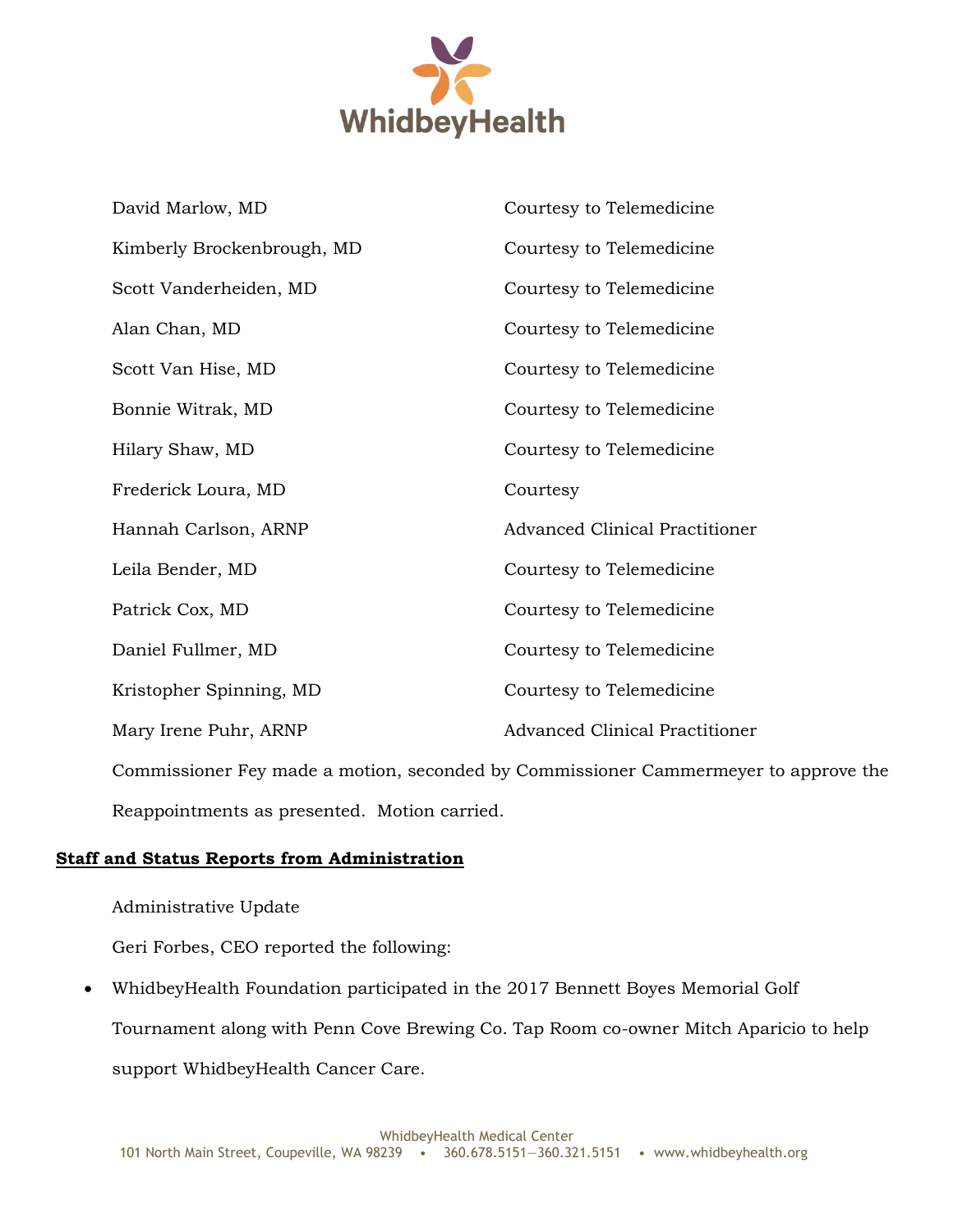

| David Marlow, MD                                                                    | Courtesy to Telemedicine              |  |
|-------------------------------------------------------------------------------------|---------------------------------------|--|
| Kimberly Brockenbrough, MD                                                          | Courtesy to Telemedicine              |  |
| Scott Vanderheiden, MD                                                              | Courtesy to Telemedicine              |  |
| Alan Chan, MD                                                                       | Courtesy to Telemedicine              |  |
| Scott Van Hise, MD                                                                  | Courtesy to Telemedicine              |  |
| Bonnie Witrak, MD                                                                   | Courtesy to Telemedicine              |  |
| Hilary Shaw, MD                                                                     | Courtesy to Telemedicine              |  |
| Frederick Loura, MD                                                                 | Courtesy                              |  |
| Hannah Carlson, ARNP                                                                | <b>Advanced Clinical Practitioner</b> |  |
| Leila Bender, MD                                                                    | Courtesy to Telemedicine              |  |
| Patrick Cox, MD                                                                     | Courtesy to Telemedicine              |  |
| Daniel Fullmer, MD                                                                  | Courtesy to Telemedicine              |  |
| Kristopher Spinning, MD                                                             | Courtesy to Telemedicine              |  |
| Mary Irene Puhr, ARNP                                                               | <b>Advanced Clinical Practitioner</b> |  |
| Commissioner Fey made a motion, seconded by Commissioner Cammermeyer to approve the |                                       |  |

Reappointments as presented. Motion carried.

## **Staff and Status Reports from Administration**

#### Administrative Update

Geri Forbes, CEO reported the following:

 WhidbeyHealth Foundation participated in the 2017 Bennett Boyes Memorial Golf Tournament along with Penn Cove Brewing Co. Tap Room co-owner Mitch Aparicio to help support WhidbeyHealth Cancer Care.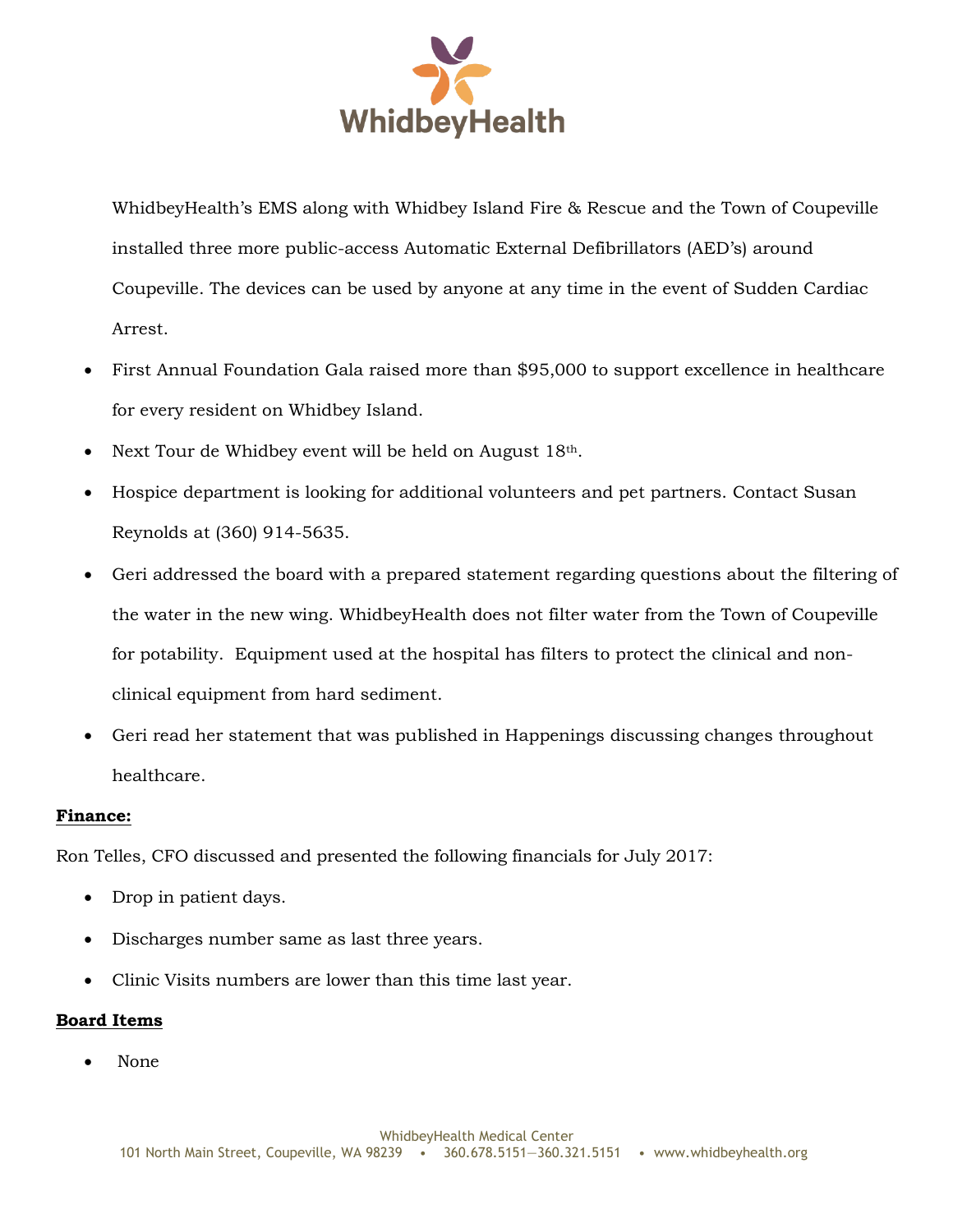

WhidbeyHealth's EMS along with Whidbey Island Fire & Rescue and the Town of Coupeville installed three more public-access Automatic External Defibrillators (AED's) around Coupeville. The devices can be used by anyone at any time in the event of Sudden Cardiac Arrest.

- First Annual Foundation Gala raised more than \$95,000 to support excellence in healthcare for every resident on Whidbey Island.
- Next Tour de Whidbey event will be held on August 18th.
- Hospice department is looking for additional volunteers and pet partners. Contact Susan Reynolds at (360) 914-5635.
- Geri addressed the board with a prepared statement regarding questions about the filtering of the water in the new wing. WhidbeyHealth does not filter water from the Town of Coupeville for potability. Equipment used at the hospital has filters to protect the clinical and nonclinical equipment from hard sediment.
- Geri read her statement that was published in Happenings discussing changes throughout healthcare.

## **Finance:**

Ron Telles, CFO discussed and presented the following financials for July 2017:

- Drop in patient days.
- Discharges number same as last three years.
- Clinic Visits numbers are lower than this time last year.

## **Board Items**

None